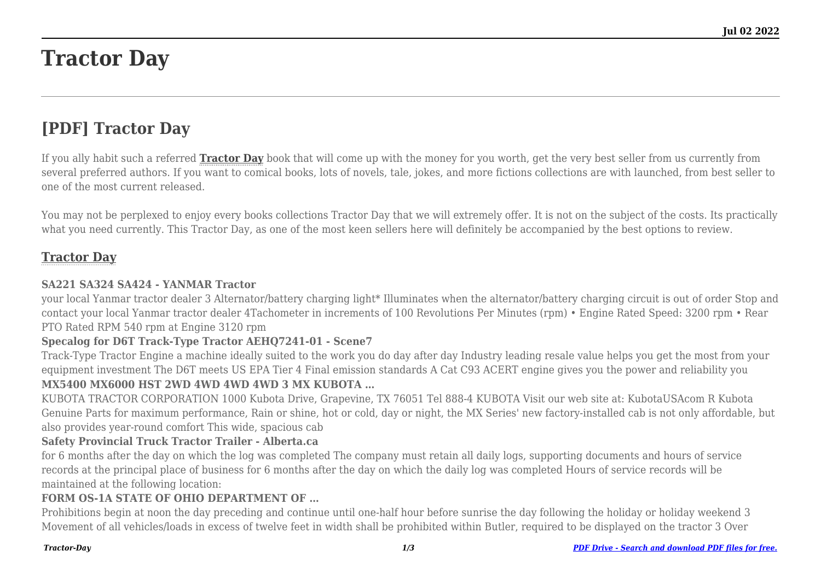# **Tractor Day**

# **[PDF] Tractor Day**

If you ally habit such a referred **[Tractor Day](http://theknottedllama.com)** book that will come up with the money for you worth, get the very best seller from us currently from several preferred authors. If you want to comical books, lots of novels, tale, jokes, and more fictions collections are with launched, from best seller to one of the most current released.

You may not be perplexed to enjoy every books collections Tractor Day that we will extremely offer. It is not on the subject of the costs. Its practically what you need currently. This Tractor Day, as one of the most keen sellers here will definitely be accompanied by the best options to review.

# **[Tractor Day](http://theknottedllama.com/Tractor-Day.pdf)**

# **SA221 SA324 SA424 - YANMAR Tractor**

your local Yanmar tractor dealer 3 Alternator/battery charging light\* Illuminates when the alternator/battery charging circuit is out of order Stop and contact your local Yanmar tractor dealer 4Tachometer in increments of 100 Revolutions Per Minutes (rpm) • Engine Rated Speed: 3200 rpm • Rear PTO Rated RPM 540 rpm at Engine 3120 rpm

# **Specalog for D6T Track-Type Tractor AEHQ7241-01 - Scene7**

Track-Type Tractor Engine a machine ideally suited to the work you do day after day Industry leading resale value helps you get the most from your equipment investment The D6T meets US EPA Tier 4 Final emission standards A Cat C93 ACERT engine gives you the power and reliability you

# **MX5400 MX6000 HST 2WD 4WD 4WD 4WD 3 MX KUBOTA …**

KUBOTA TRACTOR CORPORATION 1000 Kubota Drive, Grapevine, TX 76051 Tel 888-4 KUBOTA Visit our web site at: KubotaUSAcom R Kubota Genuine Parts for maximum performance, Rain or shine, hot or cold, day or night, the MX Series' new factory-installed cab is not only affordable, but also provides year-round comfort This wide, spacious cab

# **Safety Provincial Truck Tractor Trailer - Alberta.ca**

for 6 months after the day on which the log was completed The company must retain all daily logs, supporting documents and hours of service records at the principal place of business for 6 months after the day on which the daily log was completed Hours of service records will be maintained at the following location:

# **FORM OS-1A STATE OF OHIO DEPARTMENT OF …**

Prohibitions begin at noon the day preceding and continue until one-half hour before sunrise the day following the holiday or holiday weekend 3 Movement of all vehicles/loads in excess of twelve feet in width shall be prohibited within Butler, required to be displayed on the tractor 3 Over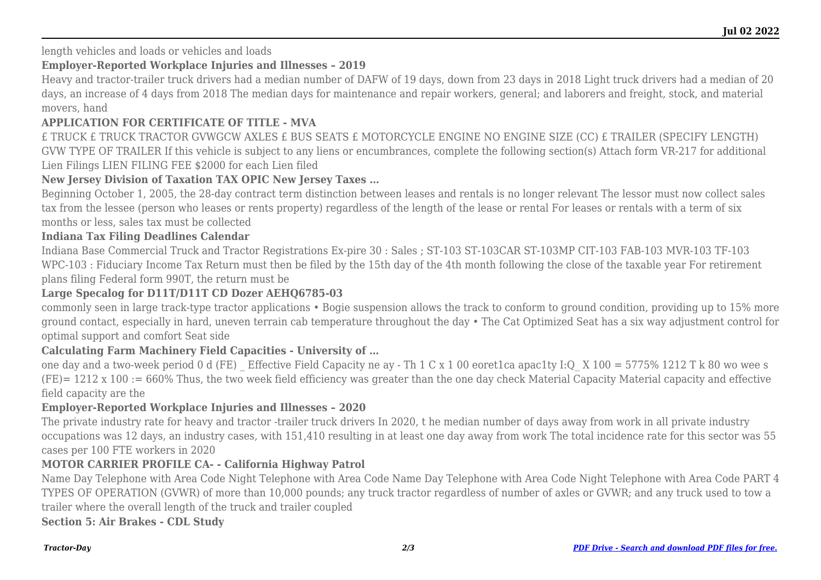length vehicles and loads or vehicles and loads

# **Employer-Reported Workplace Injuries and Illnesses – 2019**

Heavy and tractor-trailer truck drivers had a median number of DAFW of 19 days, down from 23 days in 2018 Light truck drivers had a median of 20 days, an increase of 4 days from 2018 The median days for maintenance and repair workers, general; and laborers and freight, stock, and material movers, hand

# **APPLICATION FOR CERTIFICATE OF TITLE - MVA**

£ TRUCK £ TRUCK TRACTOR GVWGCW AXLES £ BUS SEATS £ MOTORCYCLE ENGINE NO ENGINE SIZE (CC) £ TRAILER (SPECIFY LENGTH) GVW TYPE OF TRAILER If this vehicle is subject to any liens or encumbrances, complete the following section(s) Attach form VR-217 for additional Lien Filings LIEN FILING FEE \$2000 for each Lien filed

# **New Jersey Division of Taxation TAX OPIC New Jersey Taxes …**

Beginning October 1, 2005, the 28-day contract term distinction between leases and rentals is no longer relevant The lessor must now collect sales tax from the lessee (person who leases or rents property) regardless of the length of the lease or rental For leases or rentals with a term of six months or less, sales tax must be collected

# **Indiana Tax Filing Deadlines Calendar**

Indiana Base Commercial Truck and Tractor Registrations Ex-pire 30 : Sales ; ST-103 ST-103CAR ST-103MP CIT-103 FAB-103 MVR-103 TF-103 WPC-103 : Fiduciary Income Tax Return must then be filed by the 15th day of the 4th month following the close of the taxable year For retirement plans filing Federal form 990T, the return must be

# **Large Specalog for D11T/D11T CD Dozer AEHQ6785-03**

commonly seen in large track-type tractor applications • Bogie suspension allows the track to conform to ground condition, providing up to 15% more ground contact, especially in hard, uneven terrain cab temperature throughout the day • The Cat Optimized Seat has a six way adjustment control for optimal support and comfort Seat side

# **Calculating Farm Machinery Field Capacities - University of …**

one day and a two-week period 0 d (FE) Effective Field Capacity ne ay - Th 1 C x 1 00 eoret1ca apac1ty I:Q  $\,$  X 100 = 5775% 1212 T k 80 wo wee s (FE)= 1212 x 100 := 660% Thus, the two week field efficiency was greater than the one day check Material Capacity Material capacity and effective field capacity are the

# **Employer-Reported Workplace Injuries and Illnesses – 2020**

The private industry rate for heavy and tractor -trailer truck drivers In 2020, t he median number of days away from work in all private industry occupations was 12 days, an industry cases, with 151,410 resulting in at least one day away from work The total incidence rate for this sector was 55 cases per 100 FTE workers in 2020

# **MOTOR CARRIER PROFILE CA- - California Highway Patrol**

Name Day Telephone with Area Code Night Telephone with Area Code Name Day Telephone with Area Code Night Telephone with Area Code PART 4 TYPES OF OPERATION (GVWR) of more than 10,000 pounds; any truck tractor regardless of number of axles or GVWR; and any truck used to tow a trailer where the overall length of the truck and trailer coupled

**Section 5: Air Brakes - CDL Study**